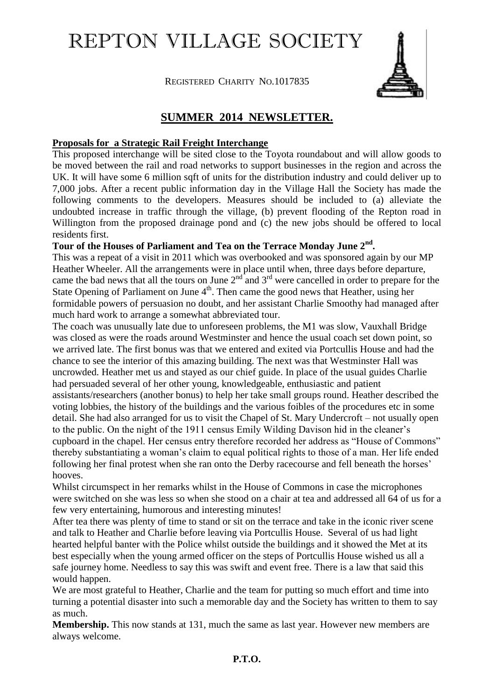# REPTON VILLAGE SOCIETY

REGISTERED CHARITY NO.1017835



## **SUMMER 2014 NEWSLETTER.**

#### **Proposals for a Strategic Rail Freight Interchange**

This proposed interchange will be sited close to the Toyota roundabout and will allow goods to be moved between the rail and road networks to support businesses in the region and across the UK. It will have some 6 million sqft of units for the distribution industry and could deliver up to 7,000 jobs. After a recent public information day in the Village Hall the Society has made the following comments to the developers. Measures should be included to (a) alleviate the undoubted increase in traffic through the village, (b) prevent flooding of the Repton road in Willington from the proposed drainage pond and (c) the new jobs should be offered to local residents first.

### **Tour of the Houses of Parliament and Tea on the Terrace Monday June 2nd .**

This was a repeat of a visit in 2011 which was overbooked and was sponsored again by our MP Heather Wheeler. All the arrangements were in place until when, three days before departure, came the bad news that all the tours on June  $2<sup>nd</sup>$  and  $3<sup>rd</sup>$  were cancelled in order to prepare for the State Opening of Parliament on June  $4<sup>th</sup>$ . Then came the good news that Heather, using her formidable powers of persuasion no doubt, and her assistant Charlie Smoothy had managed after much hard work to arrange a somewhat abbreviated tour.

The coach was unusually late due to unforeseen problems, the M1 was slow, Vauxhall Bridge was closed as were the roads around Westminster and hence the usual coach set down point, so we arrived late. The first bonus was that we entered and exited via Portcullis House and had the chance to see the interior of this amazing building. The next was that Westminster Hall was uncrowded. Heather met us and stayed as our chief guide. In place of the usual guides Charlie had persuaded several of her other young, knowledgeable, enthusiastic and patient assistants/researchers (another bonus) to help her take small groups round. Heather described the voting lobbies, the history of the buildings and the various foibles of the procedures etc in some detail. She had also arranged for us to visit the Chapel of St. Mary Undercroft – not usually open to the public. On the night of the 1911 census Emily Wilding Davison hid in the cleaner's cupboard in the chapel. Her census entry therefore recorded her address as "House of Commons" thereby substantiating a woman's claim to equal political rights to those of a man. Her life ended following her final protest when she ran onto the Derby racecourse and fell beneath the horses' hooves.

Whilst circumspect in her remarks whilst in the House of Commons in case the microphones were switched on she was less so when she stood on a chair at tea and addressed all 64 of us for a few very entertaining, humorous and interesting minutes!

After tea there was plenty of time to stand or sit on the terrace and take in the iconic river scene and talk to Heather and Charlie before leaving via Portcullis House. Several of us had light hearted helpful banter with the Police whilst outside the buildings and it showed the Met at its best especially when the young armed officer on the steps of Portcullis House wished us all a safe journey home. Needless to say this was swift and event free. There is a law that said this would happen.

We are most grateful to Heather, Charlie and the team for putting so much effort and time into turning a potential disaster into such a memorable day and the Society has written to them to say as much.

**Membership.** This now stands at 131, much the same as last year. However new members are always welcome.